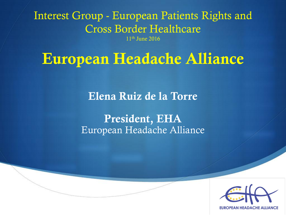Interest Group - European Patients Rights and Cross Border Healthcare

11th June 2016

#### **European Headache Alliance**

**Elena Ruiz de la Torre** 

**President, EHA** European Headache Alliance

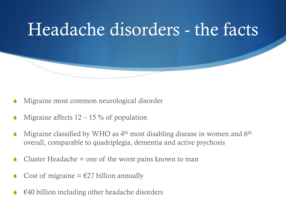

- Migraine most common neurological disorder
- Migraine affects  $12 15\%$  of population
- Migraine classified by WHO as  $4<sup>th</sup>$  most disabling disease in women and 6<sup>th</sup> overall, comparable to quadriplegia, dementia and active psychosis
- Cluster Headache  $=$  one of the worst pains known to man
- Cost of migraine  $= \text{\textsterling}27$  billion annually
- $\epsilon$ 40 billion including other headache disorders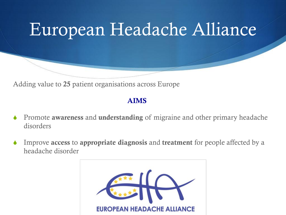# European Headache Alliance

Adding value to **25** patient organisations across Europe

#### **AIMS**

- Promote **awareness** and **understanding** of migraine and other primary headache disorders
- Improve **access** to **appropriate diagnosis** and **treatment** for people affected by a headache disorder

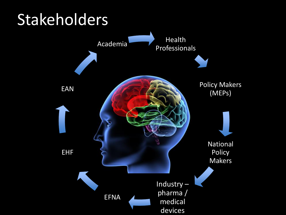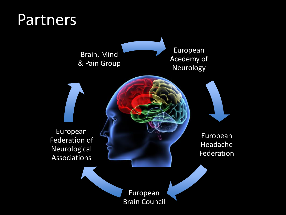#### Partners

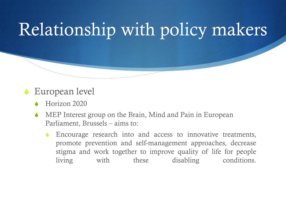# Relationship with policy makers

- European level
	- Horizon 2020
	- MEP Interest group on the Brain, Mind and Pain in European Parliament, Brussels – aims to:
		- Encourage research into and access to innovative treatments, promote prevention and self-management approaches, decrease stigma and work together to improve quality of life for people living with these disabling conditions.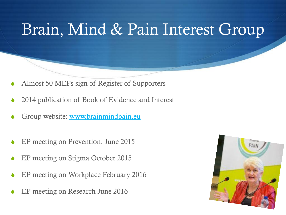### Brain, Mind & Pain Interest Group

- Almost 50 MEPs sign of Register of Supporters
- 2014 publication of Book of Evidence and Interest
- Group website: [www.brainmindpain.eu](http://www.brainmindpain.eu/)
- EP meeting on Prevention, June 2015
- EP meeting on Stigma October 2015
- EP meeting on Workplace February 2016
- EP meeting on Research June 2016

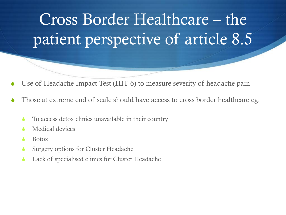# Cross Border Healthcare – the patient perspective of article 8.5

- Use of Headache Impact Test (HIT-6) to measure severity of headache pain
- Those at extreme end of scale should have access to cross border healthcare eg:
	- To access detox clinics unavailable in their country
	- Medical devices
	- **Botox**
	- Surgery options for Cluster Headache
	- Lack of specialised clinics for Cluster Headache